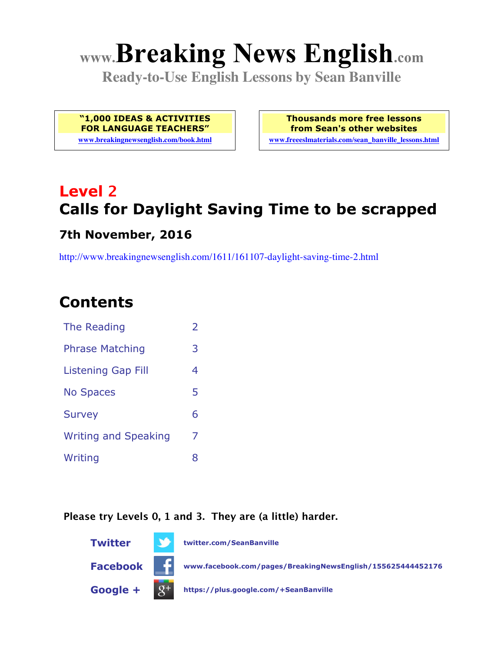# **www.Breaking News English.com**

**Ready-to-Use English Lessons by Sean Banville**

**"1,000 IDEAS & ACTIVITIES FOR LANGUAGE TEACHERS"**

**www.breakingnewsenglish.com/book.html**

**Thousands more free lessons from Sean's other websites www.freeeslmaterials.com/sean\_banville\_lessons.html**

## **Level 2 Calls for Daylight Saving Time to be scrapped**

#### **7th November, 2016**

http://www.breakingnewsenglish.com/1611/161107-daylight-saving-time-2.html

### **Contents**

| The Reading                 | $\overline{\phantom{a}}$ |
|-----------------------------|--------------------------|
| <b>Phrase Matching</b>      | 3                        |
| Listening Gap Fill          | 4                        |
| <b>No Spaces</b>            | 5                        |
| <b>Survey</b>               | 6                        |
| <b>Writing and Speaking</b> | 7                        |
| Writing                     | 8                        |

#### **Please try Levels 0, 1 and 3. They are (a little) harder.**

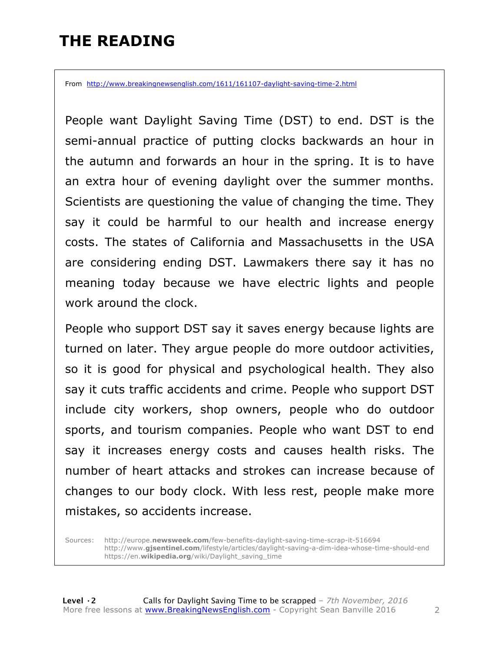### **THE READING**

From http://www.breakingnewsenglish.com/1611/161107-daylight-saving-time-2.html

People want Daylight Saving Time (DST) to end. DST is the semi-annual practice of putting clocks backwards an hour in the autumn and forwards an hour in the spring. It is to have an extra hour of evening daylight over the summer months. Scientists are questioning the value of changing the time. They say it could be harmful to our health and increase energy costs. The states of California and Massachusetts in the USA are considering ending DST. Lawmakers there say it has no meaning today because we have electric lights and people work around the clock.

People who support DST say it saves energy because lights are turned on later. They argue people do more outdoor activities, so it is good for physical and psychological health. They also say it cuts traffic accidents and crime. People who support DST include city workers, shop owners, people who do outdoor sports, and tourism companies. People who want DST to end say it increases energy costs and causes health risks. The number of heart attacks and strokes can increase because of changes to our body clock. With less rest, people make more mistakes, so accidents increase.

Sources: http://europe.**newsweek.com**/few-benefits-daylight-saving-time-scrap-it-516694 http://www.**gjsentinel.com**/lifestyle/articles/daylight-saving-a-dim-idea-whose-time-should-end https://en.**wikipedia.org**/wiki/Daylight\_saving\_time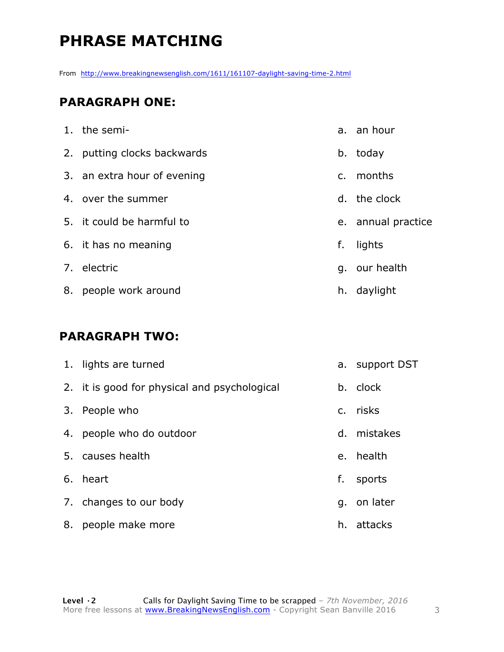### **PHRASE MATCHING**

From http://www.breakingnewsenglish.com/1611/161107-daylight-saving-time-2.html

#### **PARAGRAPH ONE:**

| 1. the semi-                |                | a. an hour         |
|-----------------------------|----------------|--------------------|
| 2. putting clocks backwards | b.             | today              |
| 3. an extra hour of evening | $\mathsf{C}$ . | months             |
| 4. over the summer          | $d_{\perp}$    | the clock          |
| 5. it could be harmful to   |                | e. annual practice |
| 6. it has no meaning        | f.             | lights             |
| 7. electric                 |                | g. our health      |
| 8. people work around       |                | h. daylight        |

#### **PARAGRAPH TWO:**

|    | 1. lights are turned                         |    | a. support DST |
|----|----------------------------------------------|----|----------------|
|    | 2. it is good for physical and psychological |    | b. clock       |
| 3. | People who                                   |    | c. risks       |
|    | 4. people who do outdoor                     | d. | mistakes       |
|    | 5. causes health                             |    | e. health      |
|    | 6. heart                                     | f. | sports         |
|    | 7. changes to our body                       | q. | on later       |
| 8. | people make more                             | h. | attacks        |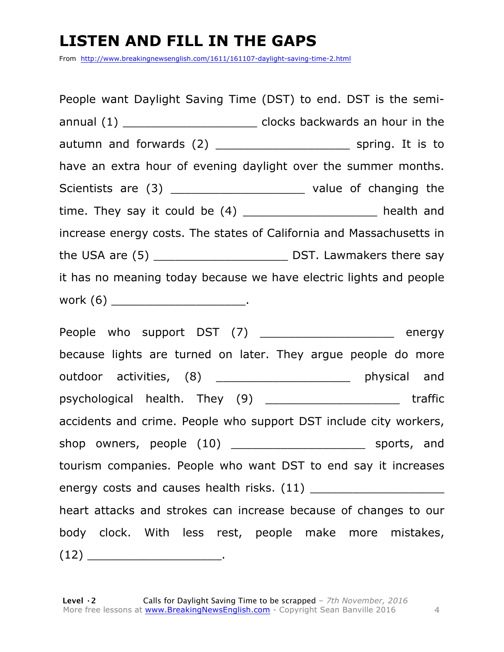### **LISTEN AND FILL IN THE GAPS**

From http://www.breakingnewsenglish.com/1611/161107-daylight-saving-time-2.html

People want Daylight Saving Time (DST) to end. DST is the semiannual (1) \_\_\_\_\_\_\_\_\_\_\_\_\_\_\_\_\_\_\_\_\_\_\_\_\_\_ clocks backwards an hour in the autumn and forwards (2) and spring. It is to have an extra hour of evening daylight over the summer months. Scientists are (3) \_\_\_\_\_\_\_\_\_\_\_\_\_\_\_\_\_\_\_\_\_\_\_ value of changing the time. They say it could be  $(4)$  \_\_\_\_\_\_\_\_\_\_\_\_\_\_\_\_\_\_\_\_\_\_ health and increase energy costs. The states of California and Massachusetts in the USA are (5) \_\_\_\_\_\_\_\_\_\_\_\_\_\_\_\_\_\_\_ DST. Lawmakers there say it has no meaning today because we have electric lights and people work  $(6)$  .

People who support DST (7) \_\_\_\_\_\_\_\_\_\_\_\_\_\_\_\_\_\_\_\_ energy because lights are turned on later. They argue people do more outdoor activities, (8) \_\_\_\_\_\_\_\_\_\_\_\_\_\_\_\_\_\_\_\_\_ physical and psychological health. They (9) \_\_\_\_\_\_\_\_\_\_\_\_\_\_\_\_\_\_\_ traffic accidents and crime. People who support DST include city workers, shop owners, people (10) \_\_\_\_\_\_\_\_\_\_\_\_\_\_\_\_\_\_\_\_\_\_\_\_\_\_ sports, and tourism companies. People who want DST to end say it increases energy costs and causes health risks. (11) \_\_\_\_\_\_\_\_\_\_\_\_\_\_\_\_\_\_\_ heart attacks and strokes can increase because of changes to our body clock. With less rest, people make more mistakes,  $(12)$  \_\_\_\_\_\_\_\_\_\_\_\_\_\_\_\_\_\_\_\_\_\_\_\_\_.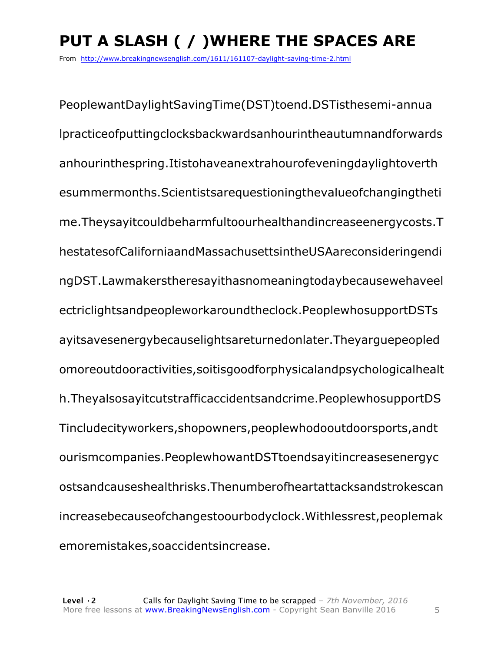### **PUT A SLASH ( / )WHERE THE SPACES ARE**

From http://www.breakingnewsenglish.com/1611/161107-daylight-saving-time-2.html

PeoplewantDaylightSavingTime(DST)toend.DSTisthesemi-annua lpracticeofputtingclocksbackwardsanhourintheautumnandforwards anhourinthespring.Itistohaveanextrahourofeveningdaylightoverth esummermonths.Scientistsarequestioningthevalueofchangingtheti me.Theysayitcouldbeharmfultoourhealthandincreaseenergycosts.T hestatesofCaliforniaandMassachusettsintheUSAareconsideringendi ngDST.Lawmakerstheresayithasnomeaningtodaybecausewehaveel ectriclightsandpeopleworkaroundtheclock.PeoplewhosupportDSTs ayitsavesenergybecauselightsareturnedonlater.Theyarguepeopled omoreoutdooractivities,soitisgoodforphysicalandpsychologicalhealt h.Theyalsosayitcutstrafficaccidentsandcrime.PeoplewhosupportDS Tincludecityworkers,shopowners,peoplewhodooutdoorsports,andt ourismcompanies.PeoplewhowantDSTtoendsayitincreasesenergyc ostsandcauseshealthrisks.Thenumberofheartattacksandstrokescan increasebecauseofchangestoourbodyclock.Withlessrest,peoplemak emoremistakes,soaccidentsincrease.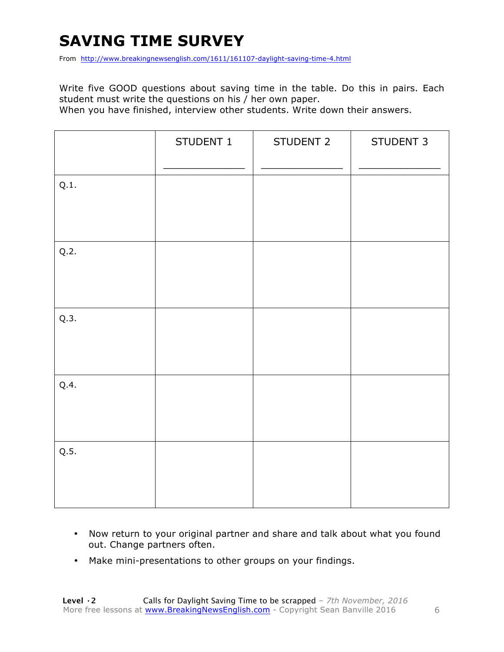### **SAVING TIME SURVEY**

From http://www.breakingnewsenglish.com/1611/161107-daylight-saving-time-4.html

Write five GOOD questions about saving time in the table. Do this in pairs. Each student must write the questions on his / her own paper.

When you have finished, interview other students. Write down their answers.

|      | STUDENT 1 | STUDENT 2 | STUDENT 3 |
|------|-----------|-----------|-----------|
| Q.1. |           |           |           |
| Q.2. |           |           |           |
| Q.3. |           |           |           |
| Q.4. |           |           |           |
| Q.5. |           |           |           |

- Now return to your original partner and share and talk about what you found out. Change partners often.
- Make mini-presentations to other groups on your findings.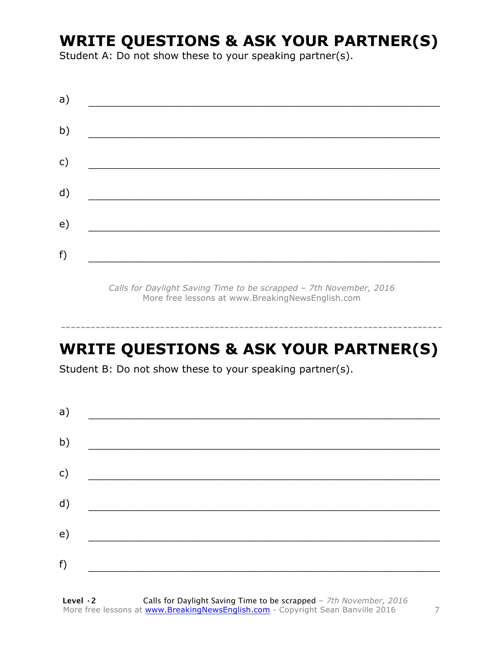### **WRITE QUESTIONS & ASK YOUR PARTNER(S)**

Student A: Do not show these to your speaking partner(s).

| a) |  |  |
|----|--|--|
| b) |  |  |
| c) |  |  |
| d) |  |  |
| e) |  |  |
| f) |  |  |
|    |  |  |

*Calls for Daylight Saving Time to be scrapped – 7th November, 2016* More free lessons at www.BreakingNewsEnglish.com

### **WRITE QUESTIONS & ASK YOUR PARTNER(S)**

-----------------------------------------------------------------------------

Student B: Do not show these to your speaking partner(s).

| a) |  |  |
|----|--|--|
| b) |  |  |
| c) |  |  |
| d) |  |  |
| e) |  |  |
| f) |  |  |
|    |  |  |